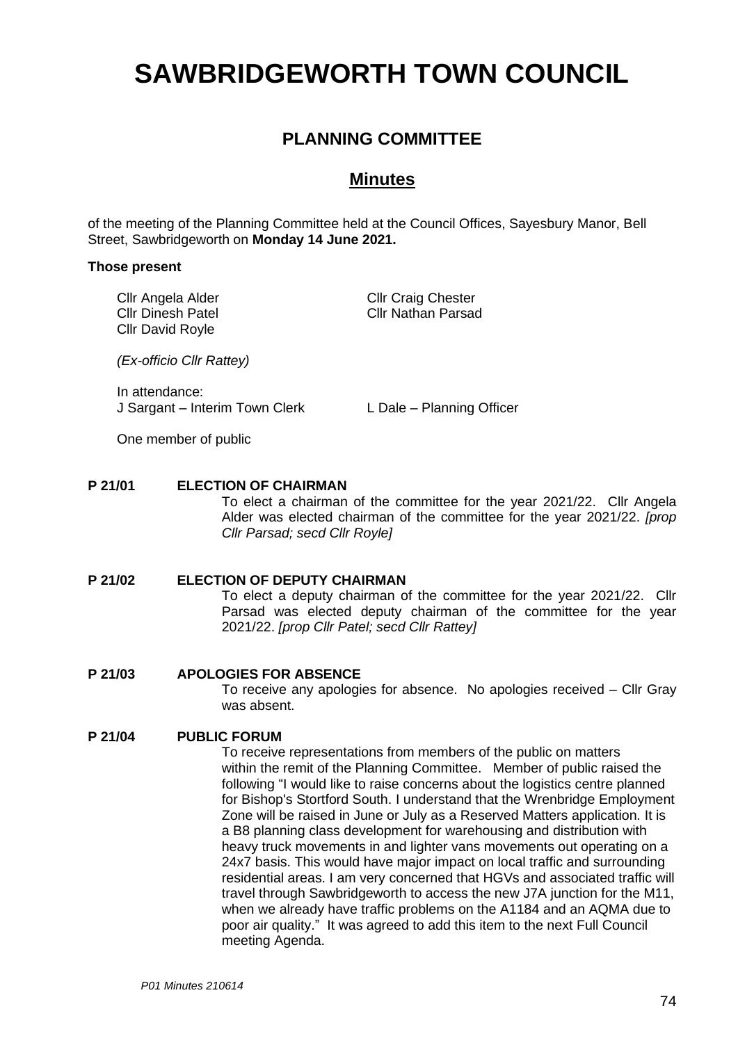# **SAWBRIDGEWORTH TOWN COUNCIL**

# **PLANNING COMMITTEE**

## **Minutes**

of the meeting of the Planning Committee held at the Council Offices, Sayesbury Manor, Bell Street, Sawbridgeworth on **Monday 14 June 2021.**

#### **Those present**

Cllr Angela Alder Cllr Dinesh Patel Cllr David Royle

Cllr Craig Chester Cllr Nathan Parsad

*(Ex-officio Cllr Rattey)*

In attendance: J Sargant – Interim Town Clerk L Dale – Planning Officer

One member of public

## **P 21/01 ELECTION OF CHAIRMAN**

To elect a chairman of the committee for the year 2021/22. Cllr Angela Alder was elected chairman of the committee for the year 2021/22. *[prop Cllr Parsad; secd Cllr Royle]*

## **P 21/02 ELECTION OF DEPUTY CHAIRMAN**

To elect a deputy chairman of the committee for the year 2021/22. Cllr Parsad was elected deputy chairman of the committee for the year 2021/22. *[prop Cllr Patel; secd Cllr Rattey]*

#### **P 21/03 APOLOGIES FOR ABSENCE**

To receive any apologies for absence. No apologies received – Cllr Gray was absent.

## **P 21/04 PUBLIC FORUM**

To receive representations from members of the public on matters within the remit of the Planning Committee. Member of public raised the following "I would like to raise concerns about the logistics centre planned for Bishop's Stortford South. I understand that the Wrenbridge Employment Zone will be raised in June or July as a Reserved Matters application. It is a B8 planning class development for warehousing and distribution with heavy truck movements in and lighter vans movements out operating on a 24x7 basis. This would have major impact on local traffic and surrounding residential areas. I am very concerned that HGVs and associated traffic will travel through Sawbridgeworth to access the new J7A junction for the M11, when we already have traffic problems on the A1184 and an AQMA due to poor air quality." It was agreed to add this item to the next Full Council meeting Agenda.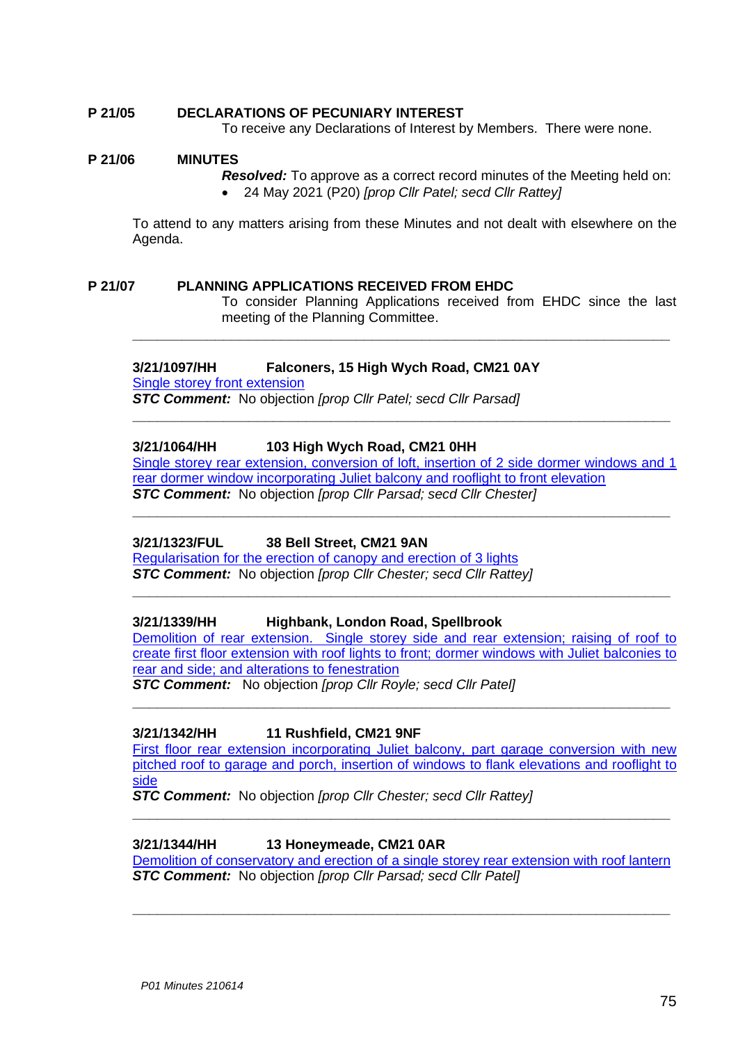# **P 21/05 DECLARATIONS OF PECUNIARY INTEREST**

To receive any Declarations of Interest by Members. There were none.

## **P 21/06 MINUTES**

*Resolved:* To approve as a correct record minutes of the Meeting held on: • 24 May 2021 (P20) *[prop Cllr Patel; secd Cllr Rattey]*

To attend to any matters arising from these Minutes and not dealt with elsewhere on the Agenda.

**\_\_\_\_\_\_\_\_\_\_\_\_\_\_\_\_\_\_\_\_\_\_\_\_\_\_\_\_\_\_\_\_\_\_\_\_\_\_\_\_\_\_\_\_\_\_\_\_\_\_\_\_\_\_\_\_\_\_\_\_\_\_\_\_\_**

**\_\_\_\_\_\_\_\_\_\_\_\_\_\_\_\_\_\_\_\_\_\_\_\_\_\_\_\_\_\_\_\_\_\_\_\_\_\_\_\_\_\_\_\_\_\_\_\_\_\_\_\_\_\_\_\_\_\_\_\_\_\_\_\_\_**

**P 21/07 PLANNING APPLICATIONS RECEIVED FROM EHDC**

## To consider Planning Applications received from EHDC since the last

meeting of the Planning Committee.

## **3/21/1097/HH Falconers, 15 High Wych Road, CM21 0AY**

[Single storey front extension](https://publicaccess.eastherts.gov.uk/online-applications/applicationDetails.do?activeTab=documents&keyVal=QS7YNJGLMC500) *STC Comment:* No objection *[prop Cllr Patel; secd Cllr Parsad]*

## **3/21/1064/HH 103 High Wych Road, CM21 0HH**

[Single storey rear extension, conversion of loft, insertion of 2 side dormer windows and 1](https://publicaccess.eastherts.gov.uk/online-applications/applicationDetails.do?activeTab=documents&keyVal=QS08XSGLM9L00)  [rear dormer window incorporating Juliet](https://publicaccess.eastherts.gov.uk/online-applications/applicationDetails.do?activeTab=documents&keyVal=QS08XSGLM9L00) balcony and rooflight to front elevation *STC Comment:* No objection *[prop Cllr Parsad; secd Cllr Chester]*

**\_\_\_\_\_\_\_\_\_\_\_\_\_\_\_\_\_\_\_\_\_\_\_\_\_\_\_\_\_\_\_\_\_\_\_\_\_\_\_\_\_\_\_\_\_\_\_\_\_\_\_\_\_\_\_\_\_\_\_\_\_\_\_\_\_**

**\_\_\_\_\_\_\_\_\_\_\_\_\_\_\_\_\_\_\_\_\_\_\_\_\_\_\_\_\_\_\_\_\_\_\_\_\_\_\_\_\_\_\_\_\_\_\_\_\_\_\_\_\_\_\_\_\_\_\_\_\_\_\_\_\_**

## **3/21/1323/FUL 38 Bell Street, CM21 9AN**

[Regularisation for the erection of canopy and erection of 3 lights](https://publicaccess.eastherts.gov.uk/online-applications/applicationDetails.do?activeTab=documents&keyVal=QT8ZZ6GLMQM00) *STC Comment:* No objection *[prop Cllr Chester; secd Cllr Rattey]*

## **3/21/1339/HH Highbank, London Road, Spellbrook**

[Demolition of rear extension. Single storey side and rear extension; raising of roof to](https://publicaccess.eastherts.gov.uk/online-applications/applicationDetails.do?activeTab=documents&keyVal=QTAJM6GLMRQ00)  [create first floor extension with roof lights to front; dormer windows with Juliet](https://publicaccess.eastherts.gov.uk/online-applications/applicationDetails.do?activeTab=documents&keyVal=QTAJM6GLMRQ00) balconies to [rear and side; and](https://publicaccess.eastherts.gov.uk/online-applications/applicationDetails.do?activeTab=documents&keyVal=QTAJM6GLMRQ00) alterations to fenestration

*STC Comment:* No objection *[prop Cllr Royle; secd Cllr Patel]* **\_\_\_\_\_\_\_\_\_\_\_\_\_\_\_\_\_\_\_\_\_\_\_\_\_\_\_\_\_\_\_\_\_\_\_\_\_\_\_\_\_\_\_\_\_\_\_\_\_\_\_\_\_\_\_\_\_\_\_\_\_\_\_\_\_**

## **3/21/1342/HH 11 Rushfield, CM21 9NF**

[First floor rear extension incorporating Juliet](https://publicaccess.eastherts.gov.uk/online-applications/applicationDetails.do?activeTab=documents&keyVal=QTCPB5GLMRX00) balcony, part garage conversion with new [pitched roof to garage and porch, insertion of windows to flank elevations and rooflight to](https://publicaccess.eastherts.gov.uk/online-applications/applicationDetails.do?activeTab=documents&keyVal=QTCPB5GLMRX00)  [side](https://publicaccess.eastherts.gov.uk/online-applications/applicationDetails.do?activeTab=documents&keyVal=QTCPB5GLMRX00)

*STC Comment:* No objection *[prop Cllr Chester; secd Cllr Rattey]*

## **3/21/1344/HH 13 Honeymeade, CM21 0AR**

Demolition [of conservatory and erection of a single storey rear extension with roof lantern](https://publicaccess.eastherts.gov.uk/online-applications/applicationDetails.do?activeTab=documents&keyVal=QTCPBMGLMS100) *STC Comment:* No objection *[prop Cllr Parsad; secd Cllr Patel]*

**\_\_\_\_\_\_\_\_\_\_\_\_\_\_\_\_\_\_\_\_\_\_\_\_\_\_\_\_\_\_\_\_\_\_\_\_\_\_\_\_\_\_\_\_\_\_\_\_\_\_\_\_\_\_\_\_\_\_\_\_\_\_\_\_\_**

**\_\_\_\_\_\_\_\_\_\_\_\_\_\_\_\_\_\_\_\_\_\_\_\_\_\_\_\_\_\_\_\_\_\_\_\_\_\_\_\_\_\_\_\_\_\_\_\_\_\_\_\_\_\_\_\_\_\_\_\_\_\_\_\_\_**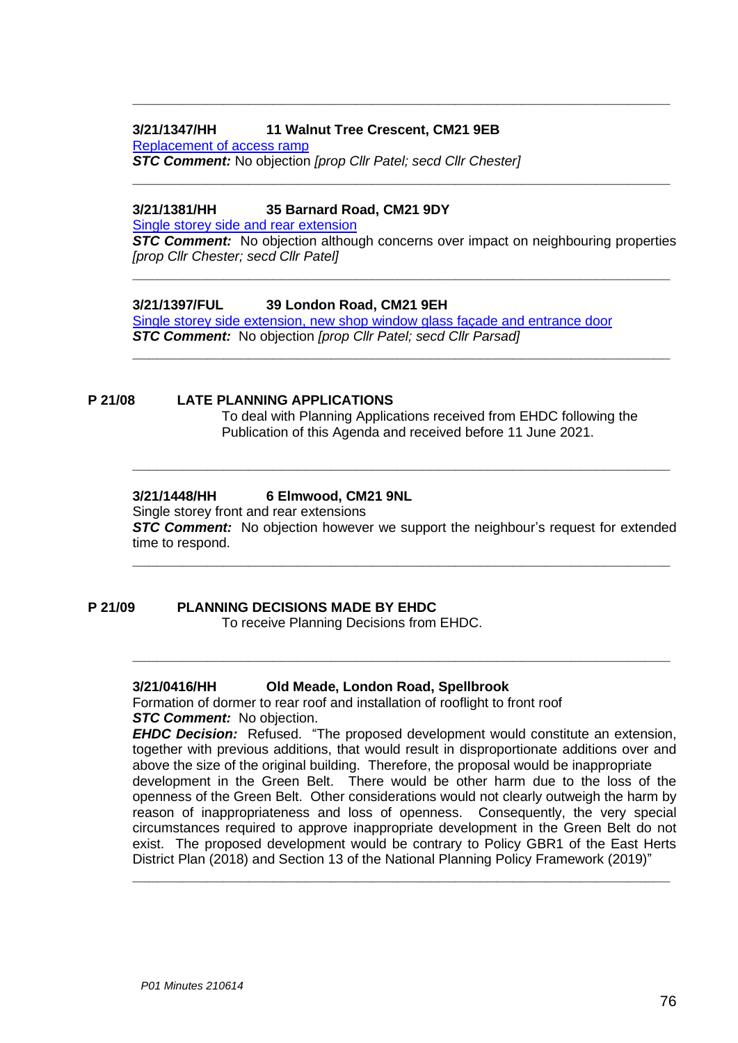## **3/21/1347/HH 11 Walnut Tree Crescent, CM21 9EB**

[Replacement of access ramp](https://publicaccess.eastherts.gov.uk/online-applications/applicationDetails.do?activeTab=documents&keyVal=QTCPCEGLMS700)

*STC Comment:* No objection *[prop Cllr Patel; secd Cllr Chester]*

#### **3/21/1381/HH 35 Barnard Road, CM21 9DY**

[Single storey side and rear extension](https://publicaccess.eastherts.gov.uk/online-applications/applicationDetails.do?activeTab=documents&keyVal=QTIKE9GLMV100)

**STC Comment:** No objection although concerns over impact on neighbouring properties *[prop Cllr Chester; secd Cllr Patel]*

**\_\_\_\_\_\_\_\_\_\_\_\_\_\_\_\_\_\_\_\_\_\_\_\_\_\_\_\_\_\_\_\_\_\_\_\_\_\_\_\_\_\_\_\_\_\_\_\_\_\_\_\_\_\_\_\_\_\_\_\_\_\_\_\_\_**

**\_\_\_\_\_\_\_\_\_\_\_\_\_\_\_\_\_\_\_\_\_\_\_\_\_\_\_\_\_\_\_\_\_\_\_\_\_\_\_\_\_\_\_\_\_\_\_\_\_\_\_\_\_\_\_\_\_\_\_\_\_\_\_\_\_**

**\_\_\_\_\_\_\_\_\_\_\_\_\_\_\_\_\_\_\_\_\_\_\_\_\_\_\_\_\_\_\_\_\_\_\_\_\_\_\_\_\_\_\_\_\_\_\_\_\_\_\_\_\_\_\_\_\_\_\_\_\_\_\_\_\_**

**\_\_\_\_\_\_\_\_\_\_\_\_\_\_\_\_\_\_\_\_\_\_\_\_\_\_\_\_\_\_\_\_\_\_\_\_\_\_\_\_\_\_\_\_\_\_\_\_\_\_\_\_\_\_\_\_\_\_\_\_\_\_\_\_\_**

## **3/21/1397/FUL 39 London Road, CM21 9EH**

[Single storey side extension, new shop window glass façade](https://publicaccess.eastherts.gov.uk/online-applications/applicationDetails.do?activeTab=documents&keyVal=QTNINRGLMW700) and entrance door *STC Comment:* No objection *[prop Cllr Patel; secd Cllr Parsad]*

## **P 21/08 LATE PLANNING APPLICATIONS**

To deal with Planning Applications received from EHDC following the Publication of this Agenda and received before 11 June 2021.

## **3/21/1448/HH 6 Elmwood, CM21 9NL**

Single storey front and rear extensions

**STC Comment:** No objection however we support the neighbour's request for extended time to respond.

**\_\_\_\_\_\_\_\_\_\_\_\_\_\_\_\_\_\_\_\_\_\_\_\_\_\_\_\_\_\_\_\_\_\_\_\_\_\_\_\_\_\_\_\_\_\_\_\_\_\_\_\_\_\_\_\_\_\_\_\_\_\_\_\_\_**

**\_\_\_\_\_\_\_\_\_\_\_\_\_\_\_\_\_\_\_\_\_\_\_\_\_\_\_\_\_\_\_\_\_\_\_\_\_\_\_\_\_\_\_\_\_\_\_\_\_\_\_\_\_\_\_\_\_\_\_\_\_\_\_\_\_**

**\_\_\_\_\_\_\_\_\_\_\_\_\_\_\_\_\_\_\_\_\_\_\_\_\_\_\_\_\_\_\_\_\_\_\_\_\_\_\_\_\_\_\_\_\_\_\_\_\_\_\_\_\_\_\_\_\_\_\_\_\_\_\_\_\_**

## **P 21/09 PLANNING DECISIONS MADE BY EHDC**

To receive Planning Decisions from EHDC.

## **3/21/0416/HH Old Meade, London Road, Spellbrook**

Formation of dormer to rear roof and installation of rooflight to front roof *STC Comment:* No objection.

*EHDC Decision:* Refused. "The proposed development would constitute an extension, together with previous additions, that would result in disproportionate additions over and above the size of the original building. Therefore, the proposal would be inappropriate development in the Green Belt. There would be other harm due to the loss of the openness of the Green Belt. Other considerations would not clearly outweigh the harm by reason of inappropriateness and loss of openness. Consequently, the very special circumstances required to approve inappropriate development in the Green Belt do not exist. The proposed development would be contrary to Policy GBR1 of the East Herts District Plan (2018) and Section 13 of the National Planning Policy Framework (2019)"

**\_\_\_\_\_\_\_\_\_\_\_\_\_\_\_\_\_\_\_\_\_\_\_\_\_\_\_\_\_\_\_\_\_\_\_\_\_\_\_\_\_\_\_\_\_\_\_\_\_\_\_\_\_\_\_\_\_\_\_\_\_\_\_\_\_**